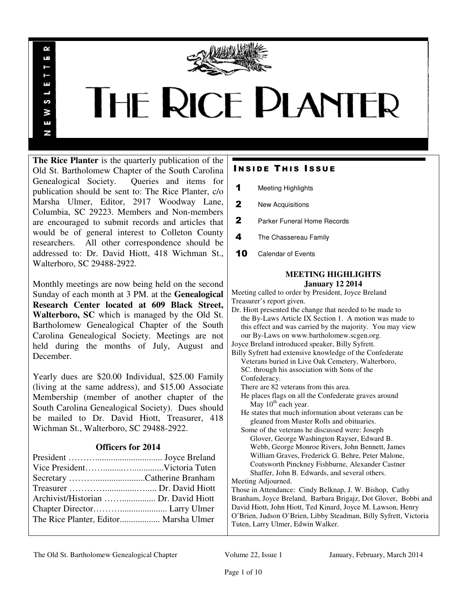

# **THE RICE PLANTER**

**The Rice Planter** is the quarterly publication of the Old St. Bartholomew Chapter of the South Carolina Genealogical Society. Queries and items for publication should be sent to: The Rice Planter, c/o Marsha Ulmer, Editor, 2917 Woodway Lane, Columbia, SC 29223. Members and Non-members are encouraged to submit records and articles that would be of general interest to Colleton County researchers. All other correspondence should be addressed to: Dr. David Hiott, 418 Wichman St., Walterboro, SC 29488-2922.

R uń

ш

S ¥ E N

Monthly meetings are now being held on the second Sunday of each month at 3 PM. at the **Genealogical Research Center located at 609 Black Street, Walterboro, SC** which is managed by the Old St. Bartholomew Genealogical Chapter of the South Carolina Genealogical Society. Meetings are not held during the months of July, August and December.

Yearly dues are \$20.00 Individual, \$25.00 Family (living at the same address), and \$15.00 Associate Membership (member of another chapter of the South Carolina Genealogical Society). Dues should be mailed to Dr. David Hiott, Treasurer, 418 Wichman St., Walterboro, SC 29488-2922.

# **Officers for 2014**

| Archivist/Historian  Dr. David Hiott |  |
|--------------------------------------|--|
|                                      |  |
|                                      |  |

# **INSIDE THIS ISSUE**

- 1 Meeting Highlights
- 2 New Acquisitions
- 2 Parker Funeral Home Records
- 4 The Chassereau Family
- 10 Calendar of Events

# **MEETING HIGHLIGHTS January 12 2014**

Meeting called to order by President, Joyce Breland Treasurer's report given.

Dr. Hiott presented the change that needed to be made to the By-Laws Article IX Section 1. A motion was made to this effect and was carried by the majority. You may view our By-Laws on www.bartholomew.scgen.org.

Joyce Breland introduced speaker, Billy Syfrett.

Billy Syfrett had extensive knowledge of the Confederate Veterans buried in Live Oak Cemetery, Walterboro, SC. through his association with Sons of the Confederacy.

There are 82 veterans from this area.

- He places flags on all the Confederate graves around May  $10^{th}$  each year.
- He states that much information about veterans can be gleaned from Muster Rolls and obituaries.

 Some of the veterans he discussed were: Joseph Glover, George Washington Rayser, Edward B. Webb, George Monroe Rivers, John Bennett, James William Graves, Frederick G. Behre, Peter Malone, Coatsworth Pinckney Fishburne, Alexander Castner Shaffer, John B. Edwards, and several others.

Meeting Adjourned.

Those in Attendance: Cindy Belknap, J. W. Bishop, Cathy Branham, Joyce Breland, Barbara Brigajz, Dot Glover, Bobbi and David Hiott, John Hiott, Ted Kinard, Joyce M. Lawson, Henry O'Brien, Judson O'Brien, Libby Steadman, Billy Syfrett, Victoria Tuten, Larry Ulmer, Edwin Walker.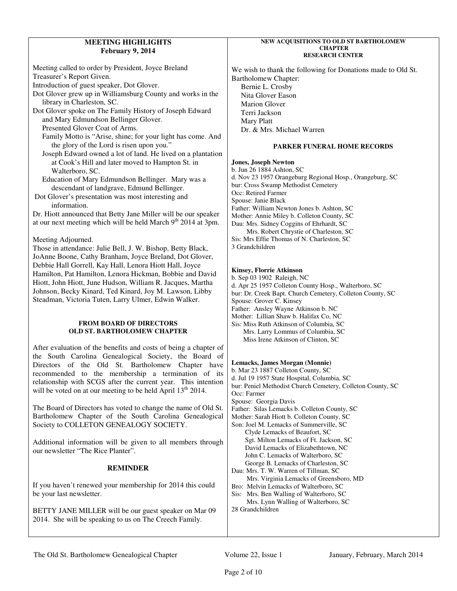# **MEETING HIGHLIGHTS February 9, 2014**

Meeting called to order by President, Joyce Breland Treasurer's Report Given. Introduction of guest speaker, Dot Glover. Dot Glover grew up in Williamsburg County and works in the library in Charleston, SC. Dot Glover spoke on The Family History of Joseph Edward and Mary Edmundson Bellinger Glover. Presented Glover Coat of Arms. Family Motto is "Arise, shine; for your light has come. And the glory of the Lord is risen upon you." Joseph Edward owned a lot of land. He lived on a plantation at Cook's Hill and later moved to Hampton St. in Walterboro, SC. Education of Mary Edmundson Bellinger. Mary was a descendant of landgrave, Edmund Bellinger. Dot Glover's presentation was most interesting and information. Dr. Hiott announced that Betty Jane Miller will be our speaker at our next meeting which will be held March  $9<sup>th</sup>$  2014 at 3pm. Meeting Adjourned. Those in attendance: Julie Bell, J. W. Bishop, Betty Black, JoAnne Boone, Cathy Branham, Joyce Breland, Dot Glover,

Debbie Hall Gorrell, Kay Hall, Lenora Hiott Hall, Joyce Hamilton, Pat Hamilton, Lenora Hickman, Bobbie and David Hiott, John Hiott, June Hudson, William R. Jacques, Martha Johnson, Becky Kinard, Ted Kinard, Joy M. Lawson, Libby Steadman, Victoria Tuten, Larry Ulmer, Edwin Walker.

#### **FROM BOARD OF DIRECTORS OLD ST. BARTHOLOMEW CHAPTER**

After evaluation of the benefits and costs of being a chapter of the South Carolina Genealogical Society, the Board of Directors of the Old St. Bartholomew Chapter have recommended to the membership a termination of its relationship with SCGS after the current year. This intention will be voted on at our meeting to be held April  $13<sup>th</sup> 2014$ .

The Board of Directors has voted to change the name of Old St. Bartholomew Chapter of the South Carolina Genealogical Society to COLLETON GENEALOGY SOCIETY.

Additional information will be given to all members through our newsletter "The Rice Planter".

# **REMINDER**

If you haven't renewed your membership for 2014 this could be your last newsletter.

BETTY JANE MILLER will be our guest speaker on Mar 09 2014. She will be speaking to us on The Creech Family.

#### **NEW ACQUISITIONS TO OLD ST BARTHOLOMEW CHAPTER RESEARCH CENTER**

We wish to thank the following for Donations made to Old St. Bartholomew Chapter: Bernie L. Crosby Nita Glover Eason Marion Glover Terri Jackson Mary Platt Dr. & Mrs. Michael Warren

# **PARKER FUNERAL HOME RECORDS**

### **Jones, Joseph Newton**

b. Jun 26 1884 Ashton, SC d. Nov 23 1957 Orangeburg Regional Hosp., Orangeburg, SC bur: Cross Swamp Methodist Cemetery Occ: Retired Farmer Spouse: Janie Black Father: William Newton Jones b. Ashton, SC Mother: Annie Miley b. Colleton County, SC Dau: Mrs. Sidney Coggins of Ehrhardt, SC Mrs. Robert Chrystie of Charleston, SC Sis: Mrs Effie Thomas of N. Charleston, SC 3 Grandchildren

#### **Kinsey, Florrie Atkinson**

b. Sep 03 1902 Raleigh, NC d. Apr 25 1957 Colleton County Hosp., Walterboro, SC bur: Dr. Creek Bapt. Church Cemetery, Colleton County, SC Spouse: Grover C. Kinsey Father: Ansley Wayne Atkinson b. NC Mother: Lillian Shaw b. Halifax Co, NC Sis: Miss Ruth Atkinson of Columbia, SC Mrs. Larry Lommus of Columbia, SC Miss Irene Atkinson of Clinton, SC

# **Lemacks, James Morgan (Monnie)**

b. Mar 23 1887 Colleton County, SC d. Jul 19 1957 State Hospital, Columbia, SC bur: Peniel Methodist Church Cemetery, Colleton County, SC Occ: Farmer Spouse: Georgia Davis Father: Silas Lemacks b. Colleton County, SC Mother: Sarah Hiott b. Colleton County, SC Son: Joel M. Lemacks of Summerville, SC Clyde Lemacks of Beaufort, SC Sgt. Milton Lemacks of Ft. Jackson, SC David Lemacks of Elizabethtown, NC John C. Lemacks of Walterboro, SC George B. Lemacks of Charleston, SC Dau: Mrs. T. W. Warren of Tillman, SC Mrs. Virginia Lemacks of Greensboro, MD Bro: Melvin Lemacks of Walterboro, SC Sis: Mrs. Ben Walling of Walterboro, SC Mrs. Lynn Walling of Walterboro, SC 28 Grandchildren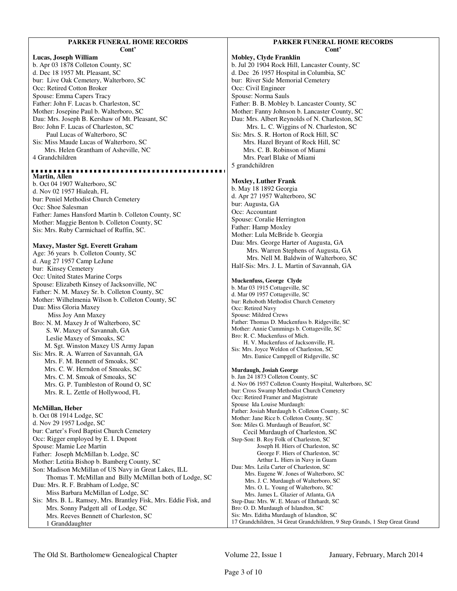#### **PARKER FUNERAL HOME RECORDS Cont'**

#### **Lucas, Joseph William**

b. Apr 03 1878 Colleton County, SC d. Dec 18 1957 Mt. Pleasant, SC bur: Live Oak Cemetery, Walterboro, SC Occ: Retired Cotton Broker Spouse: Emma Capers Tracy Father: John F. Lucas b. Charleston, SC Mother: Josepine Paul b. Walterboro, SC Dau: Mrs. Joseph B. Kershaw of Mt. Pleasant, SC Bro: John F. Lucas of Charleston, SC Paul Lucas of Walterboro, SC Sis: Miss Maude Lucas of Walterboro, SC Mrs. Helen Grantham of Asheville, NC 4 Grandchildren

#### ................................ **Martin, Allen**

b. Oct 04 1907 Walterboro, SC d. Nov 02 1957 Hialeah, FL bur: Peniel Methodist Church Cemetery Occ: Shoe Salesman Father: James Hansford Martin b. Colleton County, SC Mother: Maggie Benton b. Colleton County, SC Sis: Mrs. Ruby Carmichael of Ruffin, SC.

#### **Maxey, Master Sgt. Everett Graham**

Age: 36 years b. Colleton County, SC d. Aug 27 1957 Camp LeJune bur:Kinsey Cemetery Occ: United States Marine Corps Spouse: Elizabeth Kinsey of Jacksonville, NC Father: N. M. Maxey Sr. b. Colleton County, SC Mother: Wilhelmenia Wilson b. Colleton County, SC Dau: Miss Gloria Maxey Miss Joy Ann Maxey Bro: N. M. Maxey Jr of Walterboro, SC S. W. Maxey of Savannah, GA Leslie Maxey of Smoaks, SC M. Sgt. Winston Maxey US Army Japan Sis: Mrs. R. A. Warren of Savannah, GA Mrs. F. M. Bennett of Smoaks, SC Mrs. C. W. Herndon of Smoaks, SC Mrs. C. M. Smoak of Smoaks, SC Mrs. G. P. Tumbleston of Round O, SC Mrs. R. L. Zettle of Hollywood, FL

#### **McMillan, Heber**

b. Oct 08 1914 Lodge, SC d. Nov 29 1957 Lodge, SC bur: Carter's Ford Baptist Church Cemetery Occ: Rigger employed by E. I. Dupont Spouse: Mamie Lee Martin Father: Joseph McMillan b. Lodge, SC Mother: Letitia Bishop b. Bamberg County, SC Son: Madison McMillan of US Navy in Great Lakes, ILL Thomas T. McMillan and Billy McMillan both of Lodge, SC Dau: Mrs. R. F. Brabham of Lodge, SC Miss Barbara McMillan of Lodge, SC Sis: Mrs. B. L. Ramsey, Mrs. Brantley Fisk, Mrs. Eddie Fisk, and Mrs. Sonny Padgett all of Lodge, SC Mrs. Reeves Bennett of Charleston, SC 1 Granddaughter

#### **PARKER FUNERAL HOME RECORDS Cont'**

**Mobley, Clyde Franklin**  b. Jul 20 1904 Rock Hill, Lancaster County, SC d. Dec 26 1957 Hospital in Columbia, SC bur: River Side Memorial Cemetery Occ: Civil Engineer Spouse: Norma Sauls Father: B. B. Mobley b. Lancaster County, SC Mother: Fanny Johnson b. Lancaster County, SC Dau: Mrs. Albert Reynolds of N. Charleston, SC Mrs. L. C. Wiggins of N. Charleston, SC Sis: Mrs. S. R. Horton of Rock Hill, SC Mrs. Hazel Bryant of Rock Hill, SC Mrs. C. B. Robinson of Miami Mrs. Pearl Blake of Miami 5 grandchildren

#### **Moxley, Luther Frank**

b. May 18 1892 Georgia d. Apr 27 1957 Walterboro, SC bur: Augusta, GA Occ: Accountant Spouse: Coralie Herrington Father: Hamp Moxley Mother: Lula McBride b. Georgia Dau: Mrs. George Harter of Augusta, GA Mrs. Warren Stephens of Augusta, GA Mrs. Nell M. Baldwin of Walterboro, SC Half-Sis: Mrs. J. L. Martin of Savannah, GA

#### **Muckenfuss, George Clyde**

b. Mar 03 1915 Cottageville, SC d. Mar 09 1957 Cottageville, SC bur: Rehoboth Methodist Church Cemetery Occ: Retired Navy Spouse: Mildred Crews Father: Thomas D. Muckenfuss b. Ridgeville, SC Mother: Annie Cummings b. Cottageville, SC Bro: R. C. Muckenfuss of Mich. H. V. Muckenfuss of Jacksonville, FL Sis: Mrs. Joyce Weldon of Charleston, SC

Mrs. Eunice Campgell of Ridgeville, SC

## **Murdaugh, Josiah George**

b. Jan 24 1873 Colleton County, SC d. Nov 06 1957 Colleton County Hospital, Walterboro, SC bur: Cross Swamp Methodist Church Cemetery Occ: Retired Framer and Magistrate Spouse Ida Louise Murdaugh: Father: Josiah Murdaugh b. Colleton County, SC Mother: Jane Rice b. Colleton County, SC Son: Miles G. Murdaugh of Beaufort, SC Cecil Murdaugh of Charleston, SC Step-Son: B. Roy Folk of Charleston, SC Joseph H. Hiers of Charleston, SC George F. Hiers of Charleston, SC Arthur L. Hiers in Navy in Guam Dau: Mrs. Leila Carter of Charleston, SC Mrs. Eugene W. Jones of Walterboro, SC Mrs. J. C. Murdaugh of Walterboro, SC Mrs. O. L. Young of Walterboro, SC Mrs. James L. Glazier of Atlanta, GA Step-Dau: Mrs. W. E. Mears of Ehrhardt, SC Bro: O. D. Murdaugh of Islandton, SC Sis: Mrs. Editha Murdaugh of Islandton, SC 17 Grandchildren, 34 Great Grandchildren, 9 Step Grands, 1 Step Great Grand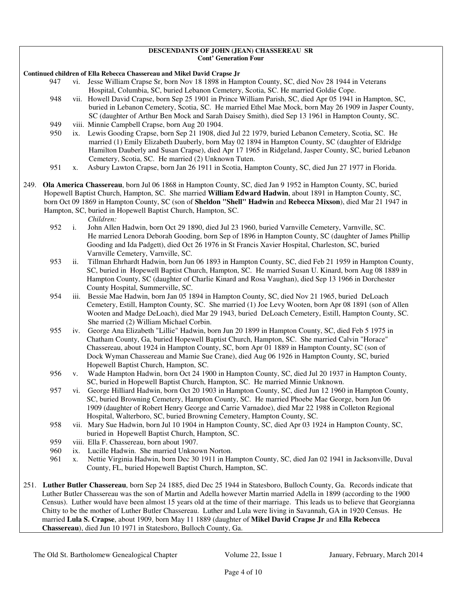#### **DESCENDANTS OF JOHN (JEAN) CHASSEREAU SR Cont' Generation Four**

**Continued children of Ella Rebecca Chassereau and Mikel David Crapse Jr** 

- 947 vi. Jesse William Crapse Sr, born Nov 18 1898 in Hampton County, SC, died Nov 28 1944 in Veterans Hospital, Columbia, SC, buried Lebanon Cemetery, Scotia, SC. He married Goldie Cope.
- 948 vii. Howell David Crapse, born Sep 25 1901 in Prince William Parish, SC, died Apr 05 1941 in Hampton, SC, buried in Lebanon Cemetery, Scotia, SC. He married Ethel Mae Mock, born May 26 1909 in Jasper County, SC (daughter of Arthur Ben Mock and Sarah Daisey Smith), died Sep 13 1961 in Hampton County, SC.
- 949 viii. Minnie Campbell Crapse, born Aug 20 1904.
- 950 ix. Lewis Gooding Crapse, born Sep 21 1908, died Jul 22 1979, buried Lebanon Cemetery, Scotia, SC. He married (1) Emily Elizabeth Dauberly, born May 02 1894 in Hampton County, SC (daughter of Eldridge Hamilton Dauberly and Susan Crapse), died Apr 17 1965 in Ridgeland, Jasper County, SC, buried Lebanon Cemetery, Scotia, SC. He married (2) Unknown Tuten.
- 951 x. Asbury Lawton Crapse, born Jan 26 1911 in Scotia, Hampton County, SC, died Jun 27 1977 in Florida.
- 249. **Ola America Chassereau**, born Jul 06 1868 in Hampton County, SC, died Jan 9 1952 in Hampton County, SC, buried Hopewell Baptist Church, Hampton, SC. She married **William Edward Hadwin**, about 1891 in Hampton County, SC, born Oct 09 1869 in Hampton County, SC (son of **Sheldon "Shell" Hadwin** and **Rebecca Mixson**), died Mar 21 1947 in Hampton, SC, buried in Hopewell Baptist Church, Hampton, SC.

*Children:*

- 952 i. John Allen Hadwin, born Oct 29 1890, died Jul 23 1960, buried Varnville Cemetery, Varnville, SC. He married Lenora Deborah Gooding, born Sep of 1896 in Hampton County, SC (daughter of James Phillip Gooding and Ida Padgett), died Oct 26 1976 in St Francis Xavier Hospital, Charleston, SC, buried Varnville Cemetery, Varnville, SC.
- 953 ii. Tillman Ehrhardt Hadwin, born Jun 06 1893 in Hampton County, SC, died Feb 21 1959 in Hampton County, SC, buried in Hopewell Baptist Church, Hampton, SC. He married Susan U. Kinard, born Aug 08 1889 in Hampton County, SC (daughter of Charlie Kinard and Rosa Vaughan), died Sep 13 1966 in Dorchester County Hospital, Summerville, SC.
- 954 iii. Bessie Mae Hadwin, born Jan 05 1894 in Hampton County, SC, died Nov 21 1965, buried DeLoach Cemetery, Estill, Hampton County, SC. She married (1) Joe Levy Wooten, born Apr 08 1891 (son of Allen Wooten and Madge DeLoach), died Mar 29 1943, buried DeLoach Cemetery, Estill, Hampton County, SC. She married (2) William Michael Corbin.
- 955 iv. George Ana Elizabeth "Lillie" Hadwin, born Jun 20 1899 in Hampton County, SC, died Feb 5 1975 in Chatham County, Ga, buried Hopewell Baptist Church, Hampton, SC. She married Calvin "Horace" Chassereau, about 1924 in Hampton County, SC, born Apr 01 1889 in Hampton County, SC (son of Dock Wyman Chassereau and Mamie Sue Crane), died Aug 06 1926 in Hampton County, SC, buried Hopewell Baptist Church, Hampton, SC.
- 956 v. Wade Hampton Hadwin, born Oct 24 1900 in Hampton County, SC, died Jul 20 1937 in Hampton County, SC, buried in Hopewell Baptist Church, Hampton, SC. He married Minnie Unknown.
- 957 vi. George Hilliard Hadwin, born Oct 20 1903 in Hampton County, SC, died Jun 12 1960 in Hampton County, SC, buried Browning Cemetery, Hampton County, SC. He married Phoebe Mae George, born Jun 06 1909 (daughter of Robert Henry George and Carrie Varnadoe), died Mar 22 1988 in Colleton Regional Hospital, Walterboro, SC, buried Browning Cemetery, Hampton County, SC.
- 958 vii. Mary Sue Hadwin, born Jul 10 1904 in Hampton County, SC, died Apr 03 1924 in Hampton County, SC, buried in Hopewell Baptist Church, Hampton, SC.

959 viii. Ella F. Chassereau, born about 1907.

- 960 ix. Lucille Hadwin. She married Unknown Norton.
- 961 x. Nettie Virginia Hadwin, born Dec 30 1911 in Hampton County, SC, died Jan 02 1941 in Jacksonville, Duval County, FL, buried Hopewell Baptist Church, Hampton, SC.
- 251. **Luther Butler Chassereau**, born Sep 24 1885, died Dec 25 1944 in Statesboro, Bulloch County, Ga. Records indicate that Luther Butler Chassereau was the son of Martin and Adella however Martin married Adella in 1899 (according to the 1900 Census). Luther would have been almost 15 years old at the time of their marriage. This leads us to believe that Georgianna Chitty to be the mother of Luther Butler Chassereau. Luther and Lula were living in Savannah, GA in 1920 Census. He married **Lula S. Crapse**, about 1909, born May 11 1889 (daughter of **Mikel David Crapse Jr** and **Ella Rebecca Chassereau**), died Jun 10 1971 in Statesboro, Bulloch County, Ga.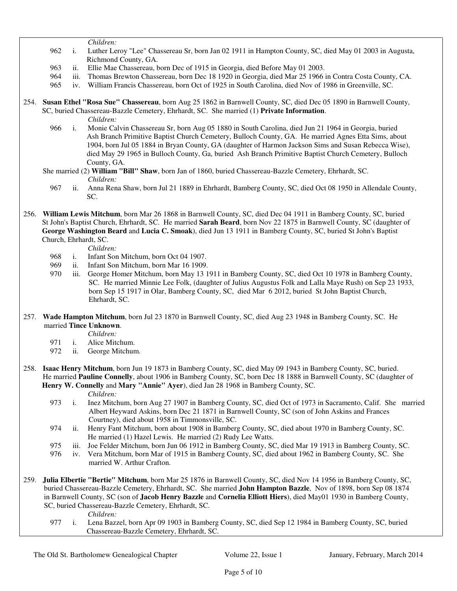*Children:*

- 962 i. Luther Leroy "Lee" Chassereau Sr, born Jan 02 1911 in Hampton County, SC, died May 01 2003 in Augusta, Richmond County, GA.
- 963 ii. Ellie Mae Chassereau, born Dec of 1915 in Georgia, died Before May 01 2003.
- 964 iii. Thomas Brewton Chassereau, born Dec 18 1920 in Georgia, died Mar 25 1966 in Contra Costa County, CA.
- 965 iv. William Francis Chassereau, born Oct of 1925 in South Carolina, died Nov of 1986 in Greenville, SC.
- 254. **Susan Ethel "Rosa Sue" Chassereau**, born Aug 25 1862 in Barnwell County, SC, died Dec 05 1890 in Barnwell County, SC, buried Chassereau-Bazzle Cemetery, Ehrhardt, SC. She married (1) **Private Information**. *Children:*
	- 966 i. Monie Calvin Chassereau Sr, born Aug 05 1880 in South Carolina, died Jun 21 1964 in Georgia, buried Ash Branch Primitive Baptist Church Cemetery, Bulloch County, GA. He married Agnes Etta Sims, about 1904, born Jul 05 1884 in Bryan County, GA (daughter of Harmon Jackson Sims and Susan Rebecca Wise), died May 29 1965 in Bulloch County, Ga, buried Ash Branch Primitive Baptist Church Cemetery, Bulloch County, GA.
	- She married (2) **William "Bill" Shaw**, born Jan of 1860, buried Chassereau-Bazzle Cemetery, Ehrhardt, SC. *Children:*<br>967 ii. Anna Ren
		- 967 ii. Anna Rena Shaw, born Jul 21 1889 in Ehrhardt, Bamberg County, SC, died Oct 08 1950 in Allendale County, SC.
- 256. **William Lewis Mitchum**, born Mar 26 1868 in Barnwell County, SC, died Dec 04 1911 in Bamberg County, SC, buried St John's Baptist Church, Ehrhardt, SC. He married **Sarah Beard**, born Nov 22 1875 in Barnwell County, SC (daughter of **George Washington Beard** and **Lucia C. Smoak**), died Jun 13 1911 in Bamberg County, SC, buried St John's Baptist Church, Ehrhardt, SC.

*Children:*

- 968 i. Infant Son Mitchum, born Oct 04 1907.
- 969 ii. Infant Son Mitchum, born Mar 16 1909.
- 970 iii. George Homer Mitchum, born May 13 1911 in Bamberg County, SC, died Oct 10 1978 in Bamberg County, SC. He married Minnie Lee Folk, (daughter of Julius Augustus Folk and Lalla Maye Rush) on Sep 23 1933, born Sep 15 1917 in Olar, Bamberg County, SC, died Mar 6 2012, buried St John Baptist Church, Ehrhardt, SC.
- 257. **Wade Hampton Mitchum**, born Jul 23 1870 in Barnwell County, SC, died Aug 23 1948 in Bamberg County, SC. He married **Tince Unknown**.

*Children:*

- 971 i. Alice Mitchum.
- 972 ii. George Mitchum.
- 258. **Isaac Henry Mitchum**, born Jun 19 1873 in Bamberg County, SC, died May 09 1943 in Bamberg County, SC, buried. He married **Pauline Connelly**, about 1906 in Bamberg County, SC, born Dec 18 1888 in Barnwell County, SC (daughter of **Henry W. Connelly** and **Mary "Annie" Ayer**), died Jan 28 1968 in Bamberg County, SC.

*Children:*

- 973 i. Inez Mitchum, born Aug 27 1907 in Bamberg County, SC, died Oct of 1973 in Sacramento, Calif. She married Albert Heyward Askins, born Dec 21 1871 in Barnwell County, SC (son of John Askins and Frances Courtney), died about 1958 in Timmonsville, SC.
- 974 ii. Henry Fant Mitchum, born about 1908 in Bamberg County, SC, died about 1970 in Bamberg County, SC. He married (1) Hazel Lewis. He married (2) Rudy Lee Watts.
- 975 iii. Joe Felder Mitchum, born Jun 06 1912 in Bamberg County, SC, died Mar 19 1913 in Bamberg County, SC.
- 976 iv. Vera Mitchum, born Mar of 1915 in Bamberg County, SC, died about 1962 in Bamberg County, SC. She married W. Arthur Crafton.
- 259. **Julia Elbertie "Bertie" Mitchum**, born Mar 25 1876 in Barnwell County, SC, died Nov 14 1956 in Bamberg County, SC, buried Chassereau-Bazzle Cemetery, Ehrhardt, SC. She married **John Hampton Bazzle**, Nov of 1898, born Sep 08 1874 in Barnwell County, SC (son of **Jacob Henry Bazzle** and **Cornelia Elliott Hiers**), died May01 1930 in Bamberg County, SC, buried Chassereau-Bazzle Cemetery, Ehrhardt, SC.
	- *Children:*
	- 977 i. Lena Bazzel, born Apr 09 1903 in Bamberg County, SC, died Sep 12 1984 in Bamberg County, SC, buried Chassereau-Bazzle Cemetery, Ehrhardt, SC.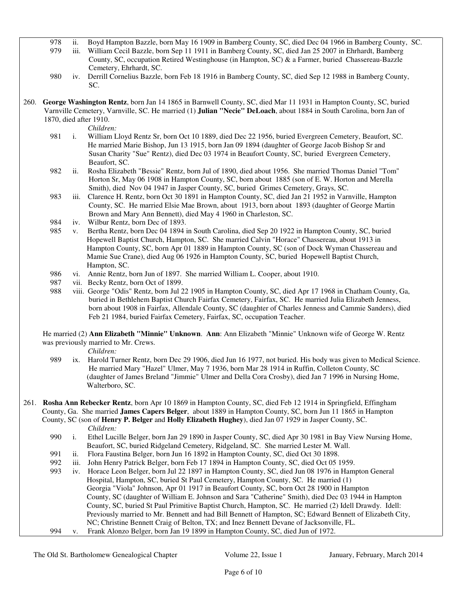978 ii. Boyd Hampton Bazzle, born May 16 1909 in Bamberg County, SC, died Dec 04 1966 in Bamberg County, SC.

- 979 iii. William Cecil Bazzle, born Sep 11 1911 in Bamberg County, SC, died Jan 25 2007 in Ehrhardt, Bamberg County, SC, occupation Retired Westinghouse (in Hampton, SC) & a Farmer, buried Chassereau-Bazzle Cemetery, Ehrhardt, SC.
- 980 iv. Derrill Cornelius Bazzle, born Feb 18 1916 in Bamberg County, SC, died Sep 12 1988 in Bamberg County, SC.
- 260. **George Washington Rentz**, born Jan 14 1865 in Barnwell County, SC, died Mar 11 1931 in Hampton County, SC, buried Varnville Cemetery, Varnville, SC. He married (1) **Julian "Necie" DeLoach**, about 1884 in South Carolina, born Jan of 1870, died after 1910.

- *Children:*<br>981 i. William I. i. William Lloyd Rentz Sr, born Oct 10 1889, died Dec 22 1956, buried Evergreen Cemetery, Beaufort, SC. He married Marie Bishop, Jun 13 1915, born Jan 09 1894 (daughter of George Jacob Bishop Sr and Susan Charity "Sue" Rentz), died Dec 03 1974 in Beaufort County, SC, buried Evergreen Cemetery, Beaufort, SC.
- 982 ii. Rosha Elizabeth "Bessie" Rentz, born Jul of 1890, died about 1956. She married Thomas Daniel "Tom" Horton Sr, May 06 1908 in Hampton County, SC, born about 1885 (son of E. W. Horton and Merella Smith), died Nov 04 1947 in Jasper County, SC, buried Grimes Cemetery, Grays, SC.
- 983 iii. Clarence H. Rentz, born Oct 30 1891 in Hampton County, SC, died Jan 21 1952 in Varnville, Hampton County, SC. He married Elsie Mae Brown, about 1913, born about 1893 (daughter of George Martin Brown and Mary Ann Bennett), died May 4 1960 in Charleston, SC.
- 984 iv. Wilbur Rentz, born Dec of 1893.
- 985 v. Bertha Rentz, born Dec 04 1894 in South Carolina, died Sep 20 1922 in Hampton County, SC, buried Hopewell Baptist Church, Hampton, SC. She married Calvin "Horace" Chassereau, about 1913 in Hampton County, SC, born Apr 01 1889 in Hampton County, SC (son of Dock Wyman Chassereau and Mamie Sue Crane), died Aug 06 1926 in Hampton County, SC, buried Hopewell Baptist Church, Hampton, SC.
- 986 vi. Annie Rentz, born Jun of 1897. She married William L. Cooper, about 1910.
- 987 vii. Becky Rentz, born Oct of 1899.
- 988 viii. George "Odis" Rentz, born Jul 22 1905 in Hampton County, SC, died Apr 17 1968 in Chatham County, Ga, buried in Bethlehem Baptist Church Fairfax Cemetery, Fairfax, SC. He married Julia Elizabeth Jenness, born about 1908 in Fairfax, Allendale County, SC (daughter of Charles Jenness and Cammie Sanders), died Feb 21 1984, buried Fairfax Cemetery, Fairfax, SC, occupation Teacher.

 He married (2) **Ann Elizabeth "Minnie" Unknown**. **Ann**: Ann Elizabeth "Minnie" Unknown wife of George W. Rentz was previously married to Mr. Crews.

*Children:*

 989 ix. Harold Turner Rentz, born Dec 29 1906, died Jun 16 1977, not buried. His body was given to Medical Science. He married Mary "Hazel" Ulmer, May 7 1936, born Mar 28 1914 in Ruffin, Colleton County, SC (daughter of James Breland "Jimmie" Ulmer and Della Cora Crosby), died Jan 7 1996 in Nursing Home, Walterboro, SC.

261. **Rosha Ann Rebecker Rentz**, born Apr 10 1869 in Hampton County, SC, died Feb 12 1914 in Springfield, Effingham County, Ga. She married **James Capers Belger**, about 1889 in Hampton County, SC, born Jun 11 1865 in Hampton County, SC (son of **Henry P. Belger** and **Holly Elizabeth Hughey**), died Jan 07 1929 in Jasper County, SC.

*Children:*

 990 i. Ethel Lucille Belger, born Jan 29 1890 in Jasper County, SC, died Apr 30 1981 in Bay View Nursing Home, Beaufort, SC, buried Ridgeland Cemetery, Ridgeland, SC. She married Lester M. Wall.

- 991 ii. Flora Faustina Belger, born Jun 16 1892 in Hampton County, SC, died Oct 30 1898.
- 992 iii. John Henry Patrick Belger, born Feb 17 1894 in Hampton County, SC, died Oct 05 1959.
- 993 iv. Horace Leon Belger, born Jul 22 1897 in Hampton County, SC, died Jun 08 1976 in Hampton General Hospital, Hampton, SC, buried St Paul Cemetery, Hampton County, SC. He married (1) Georgia "Viola" Johnson, Apr 01 1917 in Beaufort County, SC, born Oct 28 1900 in Hampton County, SC (daughter of William E. Johnson and Sara "Catherine" Smith), died Dec 03 1944 in Hampton County, SC, buried St Paul Primitive Baptist Church, Hampton, SC. He married (2) Idell Drawdy. Idell: Previously married to Mr. Bennett and had Bill Bennett of Hampton, SC; Edward Bennett of Elizabeth City, NC; Christine Bennett Craig of Belton, TX; and Inez Bennett Devane of Jacksonville, FL. 994 v. Frank Alonzo Belger, born Jan 19 1899 in Hampton County, SC, died Jun of 1972.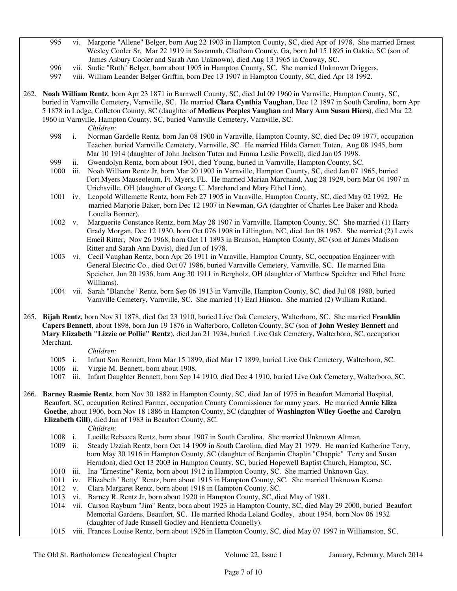- 995 vi. Margorie "Allene" Belger, born Aug 22 1903 in Hampton County, SC, died Apr of 1978. She married Ernest Wesley Cooler Sr, Mar 22 1919 in Savannah, Chatham County, Ga, born Jul 15 1895 in Oaktie, SC (son of James Asbury Cooler and Sarah Ann Unknown), died Aug 13 1965 in Conway, SC.
- 996 vii. Sudie "Ruth" Belger, born about 1905 in Hampton County, SC. She married Unknown Driggers.
- 997 viii. William Leander Belger Griffin, born Dec 13 1907 in Hampton County, SC, died Apr 18 1992.
- 262. **Noah William Rentz**, born Apr 23 1871 in Barnwell County, SC, died Jul 09 1960 in Varnville, Hampton County, SC, buried in Varnville Cemetery, Varnville, SC. He married **Clara Cynthia Vaughan**, Dec 12 1897 in South Carolina, born Apr 5 1878 in Lodge, Colleton County, SC (daughter of **Medicus Peeples Vaughan** and **Mary Ann Susan Hiers**), died Mar 22 1960 in Varnville, Hampton County, SC, buried Varnville Cemetery, Varnville, SC.

*Children:*

- 998 i. Norman Gardelle Rentz, born Jan 08 1900 in Varnville, Hampton County, SC, died Dec 09 1977, occupation Teacher, buried Varnville Cemetery, Varnville, SC. He married Hilda Garnett Tuten, Aug 08 1945, born Mar 10 1914 (daughter of John Jackson Tuten and Emma Leslie Powell), died Jan 05 1998.
- 999 ii. Gwendolyn Rentz, born about 1901, died Young, buried in Varnville, Hampton County, SC.
- 1000 iii. Noah William Rentz Jr, born Mar 20 1903 in Varnville, Hampton County, SC, died Jan 07 1965, buried Fort Myers Mauseoleum, Ft. Myers, FL. He married Marian Marchand, Aug 28 1929, born Mar 04 1907 in Urichsville, OH (daughter of George U. Marchand and Mary Ethel Linn).
- 1001 iv. Leopold Willemette Rentz, born Feb 27 1905 in Varnville, Hampton County, SC, died May 02 1992. He married Marjorie Baker, born Dec 12 1907 in Newman, GA (daughter of Charles Lee Baker and Rhoda Louella Bonner).
- 1002 v. Marguerite Constance Rentz, born May 28 1907 in Varnville, Hampton County, SC. She married (1) Harry Grady Morgan, Dec 12 1930, born Oct 076 1908 in Lillington, NC, died Jan 08 1967. She married (2) Lewis Emeil Ritter, Nov 26 1968, born Oct 11 1893 in Brunson, Hampton County, SC (son of James Madison Ritter and Sarah Ann Davis), died Jun of 1978.
- 1003 vi. Cecil Vaughan Rentz, born Apr 26 1911 in Varnville, Hampton County, SC, occupation Engineer with General Electric Co., died Oct 07 1986, buried Varnville Cemetery, Varnville, SC. He married Etta Speicher, Jun 20 1936, born Aug 30 1911 in Bergholz, OH (daughter of Matthew Speicher and Ethel Irene Williams).
- 1004 vii. Sarah "Blanche" Rentz, born Sep 06 1913 in Varnville, Hampton County, SC, died Jul 08 1980, buried Varnville Cemetery, Varnville, SC. She married (1) Earl Hinson. She married (2) William Rutland.

265. **Bijah Rentz**, born Nov 31 1878, died Oct 23 1910, buried Live Oak Cemetery, Walterboro, SC. She married **Franklin Capers Bennett**, about 1898, born Jun 19 1876 in Walterboro, Colleton County, SC (son of **John Wesley Bennett** and **Mary Elizabeth "Lizzie or Pollie" Rentz**), died Jan 21 1934, buried Live Oak Cemetery, Walterboro, SC, occupation Merchant.

#### *Children:*

- 1005 i. Infant Son Bennett, born Mar 15 1899, died Mar 17 1899, buried Live Oak Cemetery, Walterboro, SC.
- 1006 ii. Virgie M. Bennett, born about 1908.
- 1007 iii. Infant Daughter Bennett, born Sep 14 1910, died Dec 4 1910, buried Live Oak Cemetery, Walterboro, SC.
- 266. **Barney Rasmie Rentz**, born Nov 30 1882 in Hampton County, SC, died Jan of 1975 in Beaufort Memorial Hospital, Beaufort, SC, occupation Retired Farmer, occupation County Commissioner for many years. He married **Annie Eliza Goethe**, about 1906, born Nov 18 1886 in Hampton County, SC (daughter of **Washington Wiley Goethe** and **Carolyn Elizabeth Gill**), died Jan of 1983 in Beaufort County, SC.

#### *Children:*

- 1008 i. Lucille Rebecca Rentz, born about 1907 in South Carolina. She married Unknown Altman.
- 1009 ii. Steady Uzziah Rentz, born Oct 14 1909 in South Carolina, died May 21 1979. He married Katherine Terry, born May 30 1916 in Hampton County, SC (daughter of Benjamin Chaplin "Chappie" Terry and Susan Herndon), died Oct 13 2003 in Hampton County, SC, buried Hopewell Baptist Church, Hampton, SC.
- 1010 iii. Ina "Ernestine" Rentz, born about 1912 in Hampton County, SC. She married Unknown Gay.
- 1011 iv. Elizabeth "Betty" Rentz, born about 1915 in Hampton County, SC. She married Unknown Kearse.
- 1012 v. Clara Margaret Rentz, born about 1918 in Hampton County, SC.
- 1013 vi. Barney R. Rentz Jr, born about 1920 in Hampton County, SC, died May of 1981.

 1014 vii. Carson Rayburn "Jim" Rentz, born about 1923 in Hampton County, SC, died May 29 2000, buried Beaufort Memorial Gardens, Beaufort, SC. He married Rhoda Leland Godley, about 1954, born Nov 06 1932 (daughter of Jade Russell Godley and Henrietta Connelly).

1015 viii. Frances Louise Rentz, born about 1926 in Hampton County, SC, died May 07 1997 in Williamston, SC.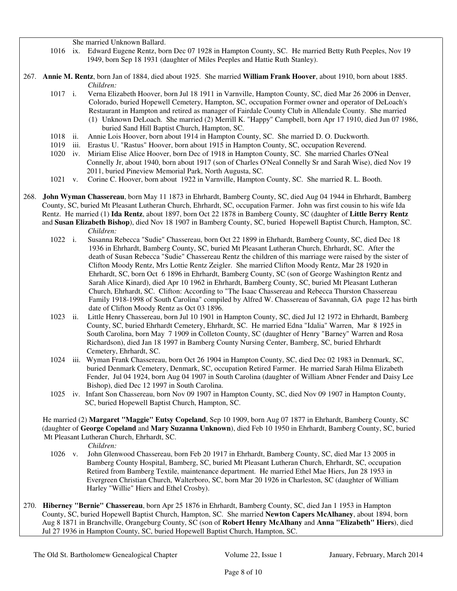She married Unknown Ballard.

- 1016 ix. Edward Eugene Rentz, born Dec 07 1928 in Hampton County, SC. He married Betty Ruth Peeples, Nov 19 1949, born Sep 18 1931 (daughter of Miles Peeples and Hattie Ruth Stanley).
- 267. **Annie M. Rentz**, born Jan of 1884, died about 1925. She married **William Frank Hoover**, about 1910, born about 1885. *Children:*
	- 1017 i. Verna Elizabeth Hoover, born Jul 18 1911 in Varnville, Hampton County, SC, died Mar 26 2006 in Denver, Colorado, buried Hopewell Cemetery, Hampton, SC, occupation Former owner and operator of DeLoach's Restaurant in Hampton and retired as manager of Fairdale County Club in Allendale County. She married (1) Unknown DeLoach. She married (2) Merrill K. "Happy" Campbell, born Apr 17 1910, died Jun 07 1986, buried Sand Hill Baptist Church, Hampton, SC.
	- 1018 ii. Annie Lois Hoover, born about 1914 in Hampton County, SC. She married D. O. Duckworth.
	- 1019 iii. Erastus U. "Rastus" Hoover, born about 1915 in Hampton County, SC, occupation Reverend.
	- 1020 iv. Miriam Elise Alice Hoover, born Dec of 1918 in Hampton County, SC. She married Charles O'Neal Connelly Jr, about 1940, born about 1917 (son of Charles O'Neal Connelly Sr and Sarah Wise), died Nov 19 2011, buried Pineview Memorial Park, North Augusta, SC.
	- 1021 v. Corine C. Hoover, born about 1922 in Varnville, Hampton County, SC. She married R. L. Booth.
- 268. **John Wyman Chassereau**, born May 11 1873 in Ehrhardt, Bamberg County, SC, died Aug 04 1944 in Ehrhardt, Bamberg County, SC, buried Mt Pleasant Lutheran Church, Ehrhardt, SC, occupation Farmer. John was first cousin to his wife Ida Rentz. He married (1) **Ida Rentz**, about 1897, born Oct 22 1878 in Bamberg County, SC (daughter of **Little Berry Rentz** and **Susan Elizabeth Bishop**), died Nov 18 1907 in Bamberg County, SC, buried Hopewell Baptist Church, Hampton, SC.
	- *Children:*<br>1022 i. Susanna F 1022 i. Susanna Rebecca "Sudie" Chassereau, born Oct 22 1899 in Ehrhardt, Bamberg County, SC, died Dec 18 1936 in Ehrhardt, Bamberg County, SC, buried Mt Pleasant Lutheran Church, Ehrhardt, SC. After the death of Susan Rebecca "Sudie" Chassereau Rentz the children of this marriage were raised by the sister of Clifton Moody Rentz, Mrs Lottie Rentz Zeigler. She married Clifton Moody Rentz, Mar 28 1920 in Ehrhardt, SC, born Oct 6 1896 in Ehrhardt, Bamberg County, SC (son of George Washington Rentz and Sarah Alice Kinard), died Apr 10 1962 in Ehrhardt, Bamberg County, SC, buried Mt Pleasant Lutheran Church, Ehrhardt, SC. Clifton: According to "The Isaac Chassereau and Rebecca Thurston Chassereau Family 1918-1998 of South Carolina" compiled by Alfred W. Chassereau of Savannah, GA page 12 has birth date of Clifton Moody Rentz as Oct 03 1896.
	- 1023 ii. Little Henry Chassereau, born Jul 10 1901 in Hampton County, SC, died Jul 12 1972 in Ehrhardt, Bamberg County, SC, buried Ehrhardt Cemetery, Ehrhardt, SC. He married Edna "Idalia" Warren, Mar 8 1925 in South Carolina, born May 7 1909 in Colleton County, SC (daughter of Henry "Barney" Warren and Rosa Richardson), died Jan 18 1997 in Bamberg County Nursing Center, Bamberg, SC, buried Ehrhardt Cemetery, Ehrhardt, SC.
	- 1024 iii. Wyman Frank Chassereau, born Oct 26 1904 in Hampton County, SC, died Dec 02 1983 in Denmark, SC, buried Denmark Cemetery, Denmark, SC, occupation Retired Farmer. He married Sarah Hilma Elizabeth Fender, Jul 04 1924, born Aug 04 1907 in South Carolina (daughter of William Abner Fender and Daisy Lee Bishop), died Dec 12 1997 in South Carolina.
	- 1025 iv. Infant Son Chassereau, born Nov 09 1907 in Hampton County, SC, died Nov 09 1907 in Hampton County, SC, buried Hopewell Baptist Church, Hampton, SC.

 He married (2) **Margaret "Maggie" Eutsy Copeland**, Sep 10 1909, born Aug 07 1877 in Ehrhardt, Bamberg County, SC (daughter of **George Copeland** and **Mary Suzanna Unknown**), died Feb 10 1950 in Ehrhardt, Bamberg County, SC, buried Mt Pleasant Lutheran Church, Ehrhardt, SC.

*Children:*

- 1026 v. John Glenwood Chassereau, born Feb 20 1917 in Ehrhardt, Bamberg County, SC, died Mar 13 2005 in Bamberg County Hospital, Bamberg, SC, buried Mt Pleasant Lutheran Church, Ehrhardt, SC, occupation Retired from Bamberg Textile, maintenance department. He married Ethel Mae Hiers, Jun 28 1953 in Evergreen Christian Church, Walterboro, SC, born Mar 20 1926 in Charleston, SC (daughter of William Harley "Willie" Hiers and Ethel Crosby).
- 270. **Hiberney "Bernie" Chassereau**, born Apr 25 1876 in Ehrhardt, Bamberg County, SC, died Jan 1 1953 in Hampton County, SC, buried Hopewell Baptist Church, Hampton, SC. She married **Newton Capers McAlhaney**, about 1894, born Aug 8 1871 in Branchville, Orangeburg County, SC (son of **Robert Henry McAlhany** and **Anna "Elizabeth" Hiers**), died Jul 27 1936 in Hampton County, SC, buried Hopewell Baptist Church, Hampton, SC.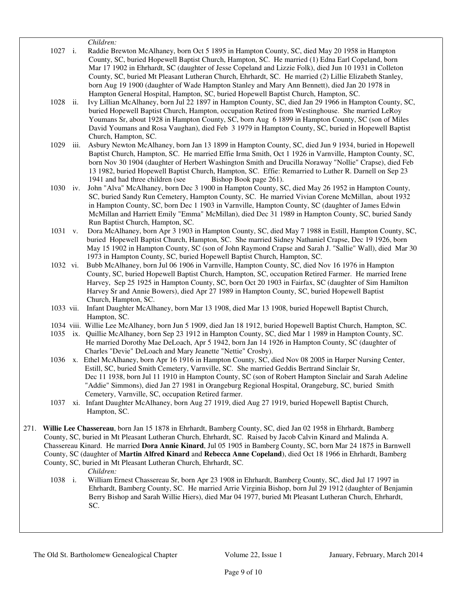*Children:* 1027 i. Raddie Brewton McAlhaney, born Oct 5 1895 in Hampton County, SC, died May 20 1958 in Hampton County, SC, buried Hopewell Baptist Church, Hampton, SC. He married (1) Edna Earl Copeland, born Mar 17 1902 in Ehrhardt, SC (daughter of Jesse Copeland and Lizzie Folk), died Jun 10 1931 in Colleton County, SC, buried Mt Pleasant Lutheran Church, Ehrhardt, SC. He married (2) Lillie Elizabeth Stanley, born Aug 19 1900 (daughter of Wade Hampton Stanley and Mary Ann Bennett), died Jan 20 1978 in Hampton General Hospital, Hampton, SC, buried Hopewell Baptist Church, Hampton, SC. 1028 ii. Ivy Lillian McAlhaney, born Jul 22 1897 in Hampton County, SC, died Jan 29 1966 in Hampton County, SC, buried Hopewell Baptist Church, Hampton, occupation Retired from Westinghouse. She married LeRoy Youmans Sr, about 1928 in Hampton County, SC, born Aug 6 1899 in Hampton County, SC (son of Miles David Youmans and Rosa Vaughan), died Feb 3 1979 in Hampton County, SC, buried in Hopewell Baptist Church, Hampton, SC. 1029 iii. Asbury Newton McAlhaney, born Jan 13 1899 in Hampton County, SC, died Jun 9 1934, buried in Hopewell Baptist Church, Hampton, SC. He married Effie Irma Smith, Oct 1 1926 in Varnville, Hampton County, SC, born Nov 30 1904 (daughter of Herbert Washington Smith and Drucilla Noraway "Nollie" Crapse), died Feb 13 1982, buried Hopewell Baptist Church, Hampton, SC. Effie: Remarried to Luther R. Darnell on Sep 23 1941 and had three children (see Bishop Book page 261). 1030 iv. John "Alva" McAlhaney, born Dec 3 1900 in Hampton County, SC, died May 26 1952 in Hampton County, SC, buried Sandy Run Cemetery, Hampton County, SC. He married Vivian Corene McMillan, about 1932 in Hampton County, SC, born Dec 1 1903 in Varnville, Hampton County, SC (daughter of James Edwin McMillan and Harriett Emily "Emma" McMillan), died Dec 31 1989 in Hampton County, SC, buried Sandy Run Baptist Church, Hampton, SC. 1031 v. Dora McAlhaney, born Apr 3 1903 in Hampton County, SC, died May 7 1988 in Estill, Hampton County, SC, buried Hopewell Baptist Church, Hampton, SC. She married Sidney Nathaniel Crapse, Dec 19 1926, born May 15 1902 in Hampton County, SC (son of John Raymond Crapse and Sarah J. "Sallie" Wall), died Mar 30 1973 in Hampton County, SC, buried Hopewell Baptist Church, Hampton, SC. 1032 vi. Bubb McAlhaney, born Jul 06 1906 in Varnville, Hampton County, SC, died Nov 16 1976 in Hampton County, SC, buried Hopewell Baptist Church, Hampton, SC, occupation Retired Farmer. He married Irene Harvey, Sep 25 1925 in Hampton County, SC, born Oct 20 1903 in Fairfax, SC (daughter of Sim Hamilton Harvey Sr and Annie Bowers), died Apr 27 1989 in Hampton County, SC, buried Hopewell Baptist Church, Hampton, SC. 1033 vii. Infant Daughter McAlhaney, born Mar 13 1908, died Mar 13 1908, buried Hopewell Baptist Church, Hampton, SC. 1034 viii. Willie Lee McAlhaney, born Jun 5 1909, died Jan 18 1912, buried Hopewell Baptist Church, Hampton, SC. 1035 ix. Quillie McAlhaney, born Sep 23 1912 in Hampton County, SC, died Mar 1 1989 in Hampton County, SC. He married Dorothy Mae DeLoach, Apr 5 1942, born Jan 14 1926 in Hampton County, SC (daughter of Charles "Devie" DeLoach and Mary Jeanette "Nettie" Crosby). 1036 x. Ethel McAlhaney, born Apr 16 1916 in Hampton County, SC, died Nov 08 2005 in Harper Nursing Center, Estill, SC, buried Smith Cemetery, Varnville, SC. She married Geddis Bertrand Sinclair Sr, Dec 11 1938, born Jul 11 1910 in Hampton County, SC (son of Robert Hampton Sinclair and Sarah Adeline "Addie" Simmons), died Jan 27 1981 in Orangeburg Regional Hospital, Orangeburg, SC, buried Smith Cemetery, Varnville, SC, occupation Retired farmer. 1037 xi. Infant Daughter McAlhaney, born Aug 27 1919, died Aug 27 1919, buried Hopewell Baptist Church, Hampton, SC. 271. **Willie Lee Chassereau**, born Jan 15 1878 in Ehrhardt, Bamberg County, SC, died Jan 02 1958 in Ehrhardt, Bamberg County, SC, buried in Mt Pleasant Lutheran Church, Ehrhardt, SC. Raised by Jacob Calvin Kinard and Malinda A. Chassereau Kinard. He married **Dora Annie Kinard**, Jul 05 1905 in Bamberg County, SC, born Mar 24 1875 in Barnwell County, SC (daughter of **Martin Alfred Kinard** and **Rebecca Anne Copeland**), died Oct 18 1966 in Ehrhardt, Bamberg

County, SC, buried in Mt Pleasant Lutheran Church, Ehrhardt, SC.

*Children:*

 1038 i. William Ernest Chassereau Sr, born Apr 23 1908 in Ehrhardt, Bamberg County, SC, died Jul 17 1997 in Ehrhardt, Bamberg County, SC. He married Arrie Virginia Bishop, born Jul 29 1912 (daughter of Benjamin Berry Bishop and Sarah Willie Hiers), died Mar 04 1977, buried Mt Pleasant Lutheran Church, Ehrhardt, SC.